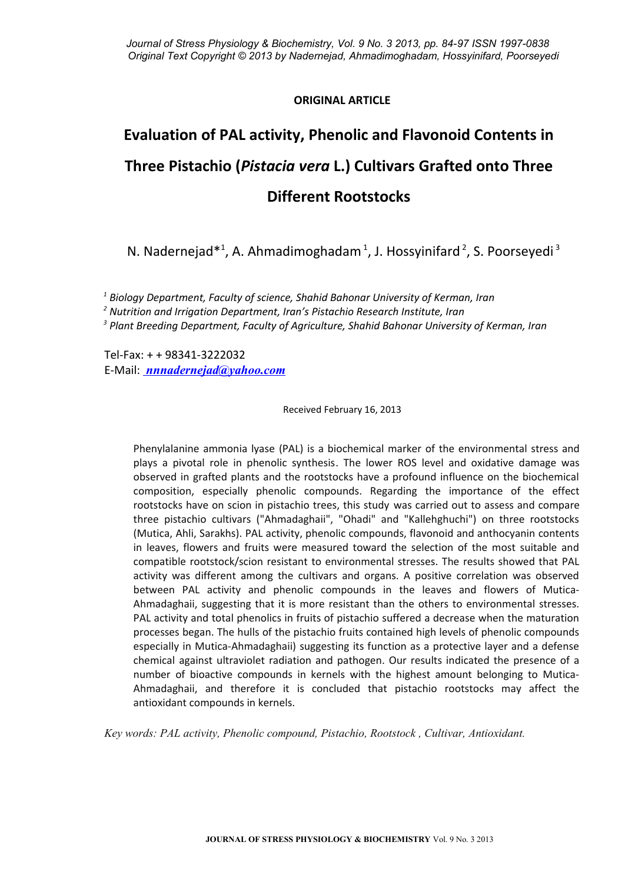# **ORIGINAL ARTICLE**

# **Evaluation of PAL activity, Phenolic and Flavonoid Contents in Three Pistachio (***Pistacia vera* **L.) Cultivars Grafted onto Three Different Rootstocks**

N. Nadernejad<sup>\*1</sup>, A. Ahmadimoghadam<sup>1</sup>, J. Hossyinifard<sup>2</sup>, S. Poorseyedi<sup>3</sup>

*1 Biology Department, Faculty of science, Shahid Bahonar University of Kerman, Iran*

*2 Nutrition and Irrigation Department, Iran's Pistachio Research Institute, Iran*

*3 Plant Breeding Department, Faculty of Agriculture, Shahid Bahonar University of Kerman, Iran*

Tel-Fax: + + 98341-3222032 E-Mail: *nnnadernejad@yahoo.com*

Received February 16, 2013

Phenylalanine ammonia lyase (PAL) is a biochemical marker of the environmental stress and plays a pivotal role in phenolic synthesis. The lower ROS level and oxidative damage was observed in grafted plants and the rootstocks have a profound influence on the biochemical composition, especially phenolic compounds. Regarding the importance of the effect rootstocks have on scion in pistachio trees, this study was carried out to assess and compare three pistachio cultivars ("Ahmadaghaii", "Ohadi" and "Kallehghuchi") on three rootstocks (Mutica, Ahli, Sarakhs). PAL activity, phenolic compounds, flavonoid and anthocyanin contents in leaves, flowers and fruits were measured toward the selection of the most suitable and compatible rootstock/scion resistant to environmental stresses. The results showed that PAL activity was different among the cultivars and organs. A positive correlation was observed between PAL activity and phenolic compounds in the leaves and flowers of Mutica-Ahmadaghaii, suggesting that it is more resistant than the others to environmental stresses. PAL activity and total phenolics in fruits of pistachio suffered a decrease when the maturation processes began. The hulls of the pistachio fruits contained high levels of phenolic compounds especially in Mutica-Ahmadaghaii) suggesting its function as a protective layer and a defense chemical against ultraviolet radiation and pathogen. Our results indicated the presence of a number of bioactive compounds in kernels with the highest amount belonging to Mutica-Ahmadaghaii, and therefore it is concluded that pistachio rootstocks may affect the antioxidant compounds in kernels.

*Key words: PAL activity, Phenolic compound, Pistachio, Rootstock , Cultivar, Antioxidant.*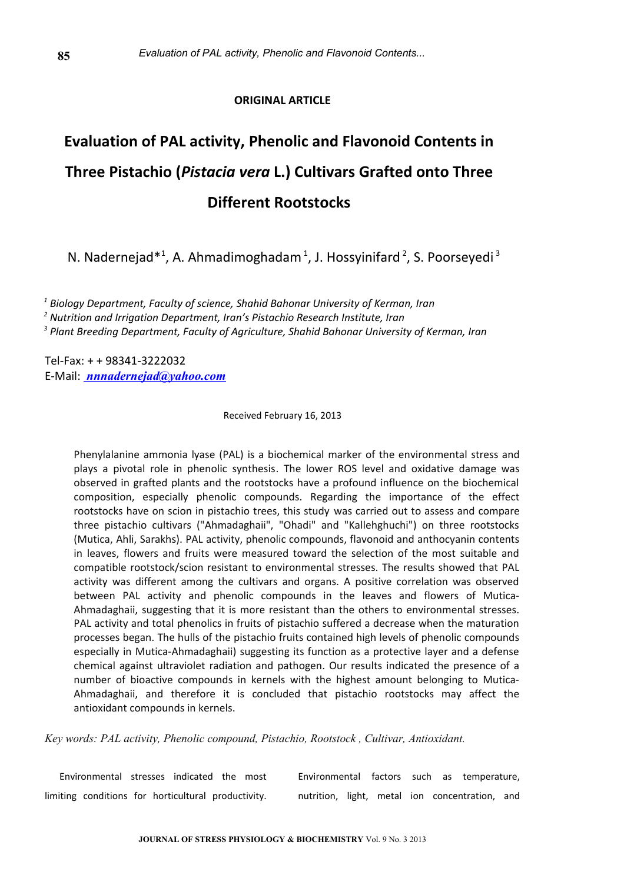# **ORIGINAL ARTICLE**

# **Evaluation of PAL activity, Phenolic and Flavonoid Contents in Three Pistachio (***Pistacia vera* **L.) Cultivars Grafted onto Three Different Rootstocks**

N. Nadernejad\*<sup>1</sup>, A. Ahmadimoghadam<sup>1</sup>, J. Hossyinifard<sup>2</sup>, S. Poorseyedi<sup>3</sup>

*1 Biology Department, Faculty of science, Shahid Bahonar University of Kerman, Iran*

*2 Nutrition and Irrigation Department, Iran's Pistachio Research Institute, Iran*

*3 Plant Breeding Department, Faculty of Agriculture, Shahid Bahonar University of Kerman, Iran*

Tel-Fax: + + 98341-3222032 E-Mail: *nnnadernejad@yahoo.com*

# Received February 16, 2013

Phenylalanine ammonia lyase (PAL) is a biochemical marker of the environmental stress and plays a pivotal role in phenolic synthesis. The lower ROS level and oxidative damage was observed in grafted plants and the rootstocks have a profound influence on the biochemical composition, especially phenolic compounds. Regarding the importance of the effect rootstocks have on scion in pistachio trees, this study was carried out to assess and compare three pistachio cultivars ("Ahmadaghaii", "Ohadi" and "Kallehghuchi") on three rootstocks (Mutica, Ahli, Sarakhs). PAL activity, phenolic compounds, flavonoid and anthocyanin contents in leaves, flowers and fruits were measured toward the selection of the most suitable and compatible rootstock/scion resistant to environmental stresses. The results showed that PAL activity was different among the cultivars and organs. A positive correlation was observed between PAL activity and phenolic compounds in the leaves and flowers of Mutica-Ahmadaghaii, suggesting that it is more resistant than the others to environmental stresses. PAL activity and total phenolics in fruits of pistachio suffered a decrease when the maturation processes began. The hulls of the pistachio fruits contained high levels of phenolic compounds especially in Mutica-Ahmadaghaii) suggesting its function as a protective layer and a defense chemical against ultraviolet radiation and pathogen. Our results indicated the presence of a number of bioactive compounds in kernels with the highest amount belonging to Mutica-Ahmadaghaii, and therefore it is concluded that pistachio rootstocks may affect the antioxidant compounds in kernels.

*Key words: PAL activity, Phenolic compound, Pistachio, Rootstock , Cultivar, Antioxidant.* 

Environmental stresses indicated the most limiting conditions for horticultural productivity. Environmental factors such as temperature, nutrition, light, metal ion concentration, and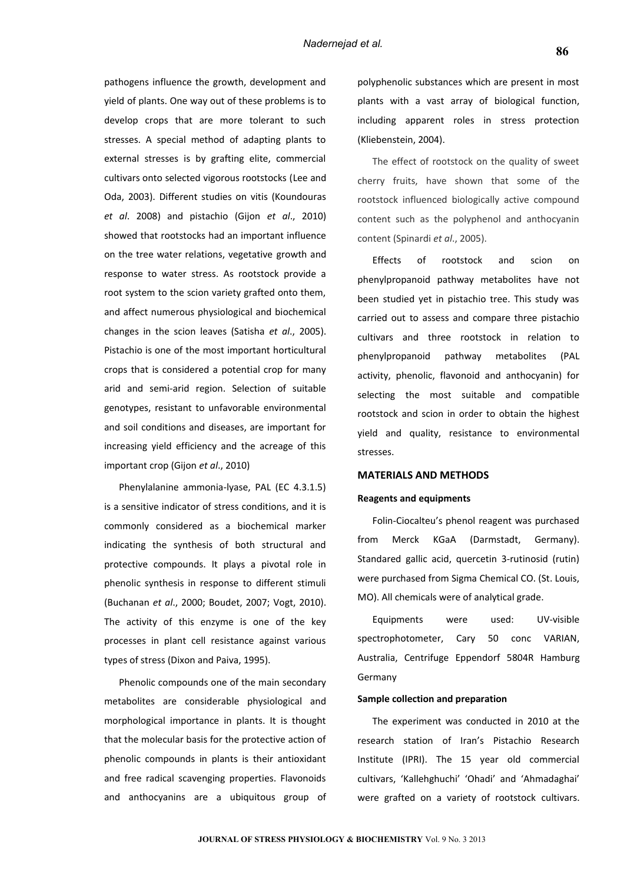pathogens influence the growth, development and yield of plants. One way out of these problems is to develop crops that are more tolerant to such stresses. A special method of adapting plants to external stresses is by grafting elite, commercial cultivars onto selected vigorous rootstocks (Lee and Oda, 2003). Different studies on vitis (Koundouras *et al*. 2008) and pistachio (Gijon *et al*., 2010) showed that rootstocks had an important influence on the tree water relations, vegetative growth and response to water stress. As rootstock provide a root system to the scion variety grafted onto them, and affect numerous physiological and biochemical changes in the scion leaves (Satisha *et al*., 2005). Pistachio is one of the most important horticultural crops that is considered a potential crop for many arid and semi-arid region. Selection of suitable genotypes, resistant to unfavorable environmental and soil conditions and diseases, are important for increasing yield efficiency and the acreage of this important crop (Gijon *et al*., 2010)

Phenylalanine ammonia-lyase, PAL (EC 4.3.1.5) is a sensitive indicator of stress conditions, and it is commonly considered as a biochemical marker indicating the synthesis of both structural and protective compounds. It plays a pivotal role in phenolic synthesis in response to different stimuli (Buchanan *et al*., 2000; Boudet, 2007; Vogt, 2010). The activity of this enzyme is one of the key processes in plant cell resistance against various types of stress (Dixon and Paiva, 1995).

Phenolic compounds one of the main secondary metabolites are considerable physiological and morphological importance in plants. It is thought that the molecular basis for the protective action of phenolic compounds in plants is their antioxidant and free radical scavenging properties. Flavonoids and anthocyanins are a ubiquitous group of polyphenolic substances which are present in most plants with a vast array of biological function, including apparent roles in stress protection (Kliebenstein, 2004).

The effect of rootstock on the quality of sweet cherry fruits, have shown that some of the rootstock influenced biologically active compound content such as the polyphenol and anthocyanin content (Spinardi *et al*., 2005).

Effects of rootstock and scion on phenylpropanoid pathway metabolites have not been studied yet in pistachio tree. This study was carried out to assess and compare three pistachio cultivars and three rootstock in relation to phenylpropanoid pathway metabolites (PAL activity, phenolic, flavonoid and anthocyanin) for selecting the most suitable and compatible rootstock and scion in order to obtain the highest yield and quality, resistance to environmental stresses.

# **MATERIALS AND METHODS**

#### **Reagents and equipments**

Folin-Ciocalteu's phenol reagent was purchased from Merck KGaA (Darmstadt, Germany). Standared gallic acid, quercetin 3-rutinosid (rutin) were purchased from Sigma Chemical CO. (St. Louis, MO). All chemicals were of analytical grade.

Equipments were used: UV-visible spectrophotometer, Cary 50 conc VARIAN, Australia, Centrifuge Eppendorf 5804R Hamburg Germany

# **Sample collection and preparation**

The experiment was conducted in 2010 at the research station of Iran's Pistachio Research Institute (IPRI). The 15 year old commercial cultivars, 'Kallehghuchi' 'Ohadi' and 'Ahmadaghai' were grafted on a variety of rootstock cultivars.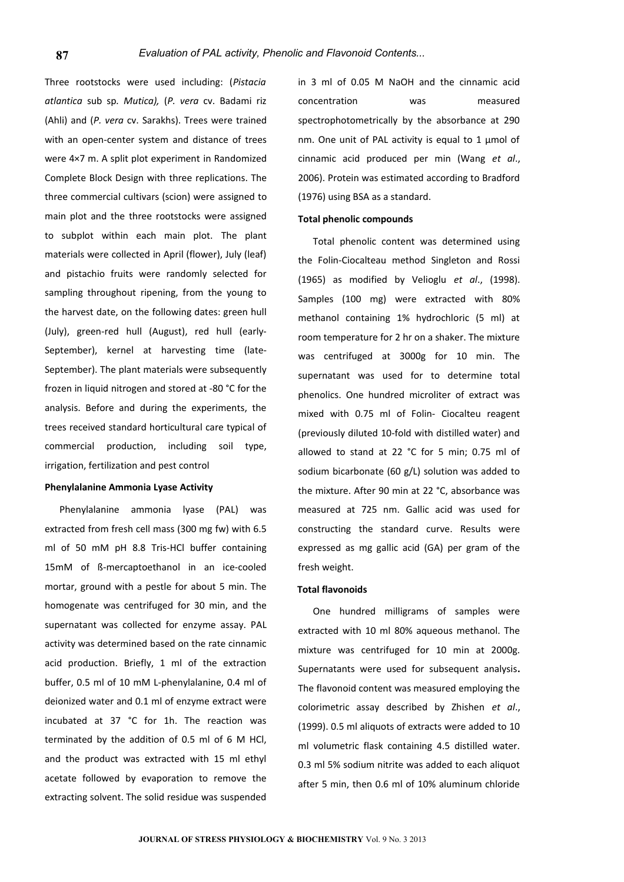Three rootstocks were used including: (*Pistacia atlantica* sub sp*. Mutica),* (*P. vera* cv. Badami riz (Ahli) and (*P. vera* cv. Sarakhs). Trees were trained with an open-center system and distance of trees were 4×7 m. A split plot experiment in Randomized Complete Block Design with three replications. The three commercial cultivars (scion) were assigned to main plot and the three rootstocks were assigned to subplot within each main plot. The plant materials were collected in April (flower), July (leaf) and pistachio fruits were randomly selected for sampling throughout ripening, from the young to the harvest date, on the following dates: green hull (July), green-red hull (August), red hull (early-September), kernel at harvesting time (late-September). The plant materials were subsequently frozen in liquid nitrogen and stored at -80 °C for the analysis. Before and during the experiments, the trees received standard horticultural care typical of commercial production, including soil type, irrigation, fertilization and pest control

### **Phenylalanine Ammonia Lyase Activity**

Phenylalanine ammonia lyase (PAL) was extracted from fresh cell mass (300 mg fw) with 6.5 ml of 50 mM pH 8.8 Tris-HCl buffer containing 15mM of ß-mercaptoethanol in an ice-cooled mortar, ground with a pestle for about 5 min. The homogenate was centrifuged for 30 min, and the supernatant was collected for enzyme assay. PAL activity was determined based on the rate cinnamic acid production. Briefly, 1 ml of the extraction buffer, 0.5 ml of 10 mM L-phenylalanine, 0.4 ml of deionized water and 0.1 ml of enzyme extract were incubated at 37 °C for 1h. The reaction was terminated by the addition of 0.5 ml of 6 M HCl, and the product was extracted with 15 ml ethyl acetate followed by evaporation to remove the extracting solvent. The solid residue was suspended

in 3 ml of 0.05 M NaOH and the cinnamic acid concentration was measured spectrophotometrically by the absorbance at 290 nm. One unit of PAL activity is equal to 1 μmol of cinnamic acid produced per min (Wang *et al*., 2006). Protein was estimated according to Bradford (1976) using BSA as a standard.

# **Total phenolic compounds**

Total phenolic content was determined using the Folin-Ciocalteau method Singleton and Rossi (1965) as modified by Velioglu *et al*., (1998). Samples (100 mg) were extracted with 80% methanol containing 1% hydrochloric (5 ml) at room temperature for 2 hr on a shaker. The mixture was centrifuged at 3000g for 10 min. The supernatant was used for to determine total phenolics. One hundred microliter of extract was mixed with 0.75 ml of Folin- Ciocalteu reagent (previously diluted 10-fold with distilled water) and allowed to stand at 22 °C for 5 min; 0.75 ml of sodium bicarbonate (60 g/L) solution was added to the mixture. After 90 min at 22 °C, absorbance was measured at 725 nm. Gallic acid was used for constructing the standard curve. Results were expressed as mg gallic acid (GA) per gram of the fresh weight.

# **Total flavonoids**

One hundred milligrams of samples were extracted with 10 ml 80% aqueous methanol. The mixture was centrifuged for 10 min at 2000g. Supernatants were used for subsequent analysis**.** The flavonoid content was measured employing the colorimetric assay described by Zhishen *et al*., (1999). 0.5 ml aliquots of extracts were added to 10 ml volumetric flask containing 4.5 distilled water. 0.3 ml 5% sodium nitrite was added to each aliquot after 5 min, then 0.6 ml of 10% aluminum chloride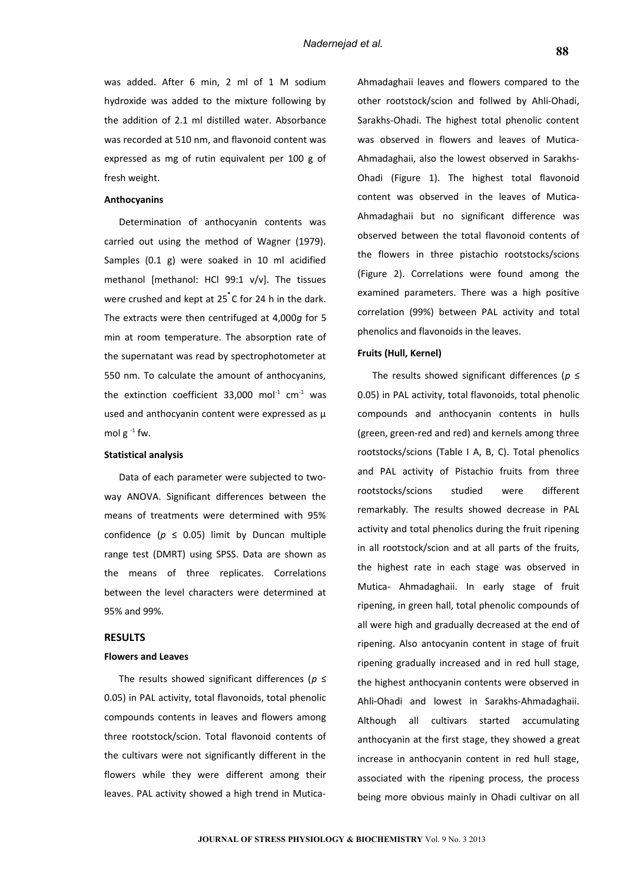was added. After 6 min, 2 ml of 1 M sodium hydroxide was added to the mixture following by the addition of 2.1 ml distilled water. Absorbance was recorded at 510 nm, and flavonoid content was expressed as mg of rutin equivalent per 100 g of fresh weight.

# **Anthocyanins**

Determination of anthocyanin contents was carried out using the method of Wagner (1979). Samples (0.1 g) were soaked in 10 ml acidified methanol [methanol: HCl 99:1 v/v]. The tissues were crushed and kept at 25<sup>°</sup>C for 24 h in the dark. The extracts were then centrifuged at 4,000*g* for 5 min at room temperature. The absorption rate of the supernatant was read by spectrophotometer at 550 nm. To calculate the amount of anthocyanins, the extinction coefficient 33,000 mol $1$  cm<sup>-1</sup> was used and anthocyanin content were expressed as μ mol  $g^{-1}$  fw.

### **Statistical analysis**

Data of each parameter were subjected to twoway ANOVA. Significant differences between the means of treatments were determined with 95% confidence ( $p \leq 0.05$ ) limit by Duncan multiple range test (DMRT) using SPSS. Data are shown as the means of three replicates. Correlations between the level characters were determined at 95% and 99%.

#### **RESULTS**

#### **Flowers and Leaves**

The results showed significant differences (*p* ≤ 0.05) in PAL activity, total flavonoids, total phenolic compounds contents in leaves and flowers among three rootstock/scion. Total flavonoid contents of the cultivars were not significantly different in the flowers while they were different among their leaves. PAL activity showed a high trend in MuticaAhmadaghaii leaves and flowers compared to the other rootstock/scion and follwed by Ahli-Ohadi, Sarakhs-Ohadi. The highest total phenolic content was observed in flowers and leaves of Mutica-Ahmadaghaii, also the lowest observed in Sarakhs-Ohadi (Figure 1). The highest total flavonoid content was observed in the leaves of Mutica-Ahmadaghaii but no significant difference was observed between the total flavonoid contents of the flowers in three pistachio rootstocks/scions (Figure 2). Correlations were found among the examined parameters. There was a high positive correlation (99%) between PAL activity and total phenolics and flavonoids in the leaves.

## **Fruits (Hull, Kernel)**

The results showed significant differences (*p* ≤ 0.05) in PAL activity, total flavonoids, total phenolic compounds and anthocyanin contents in hulls (green, green-red and red) and kernels among three rootstocks/scions (Table I A, B, C). Total phenolics and PAL activity of Pistachio fruits from three rootstocks/scions studied were different remarkably. The results showed decrease in PAL activity and total phenolics during the fruit ripening in all rootstock/scion and at all parts of the fruits, the highest rate in each stage was observed in Mutica- Ahmadaghaii. In early stage of fruit ripening, in green hall, total phenolic compounds of all were high and gradually decreased at the end of ripening. Also antocyanin content in stage of fruit ripening gradually increased and in red hull stage, the highest anthocyanin contents were observed in Ahli-Ohadi and lowest in Sarakhs-Ahmadaghaii. Although all cultivars started accumulating anthocyanin at the first stage, they showed a great increase in anthocyanin content in red hull stage, associated with the ripening process, the process being more obvious mainly in Ohadi cultivar on all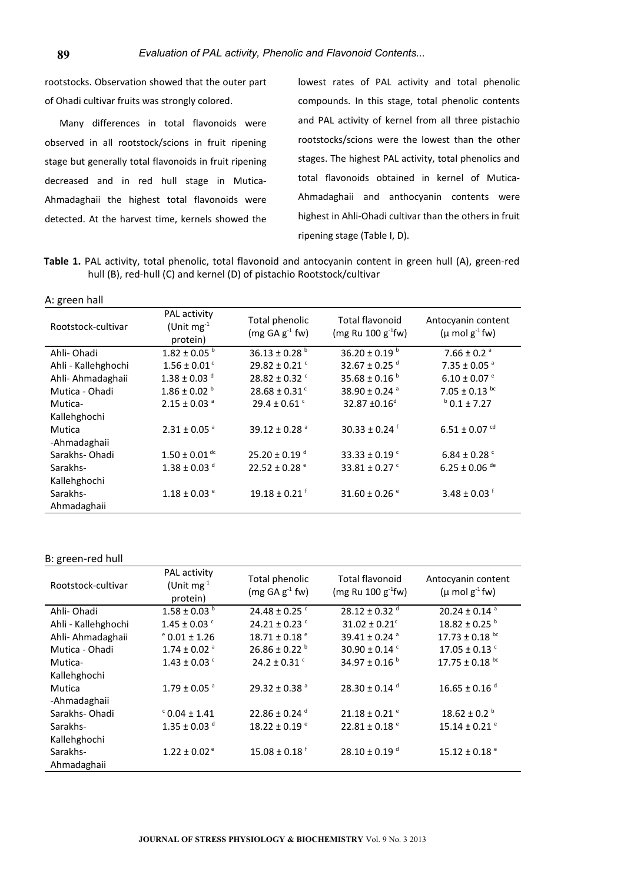rootstocks. Observation showed that the outer part of Ohadi cultivar fruits was strongly colored.

Many differences in total flavonoids were observed in all rootstock/scions in fruit ripening stage but generally total flavonoids in fruit ripening decreased and in red hull stage in Mutica-Ahmadaghaii the highest total flavonoids were detected. At the harvest time, kernels showed the lowest rates of PAL activity and total phenolic compounds. In this stage, total phenolic contents and PAL activity of kernel from all three pistachio rootstocks/scions were the lowest than the other stages. The highest PAL activity, total phenolics and total flavonoids obtained in kernel of Mutica-Ahmadaghaii and anthocyanin contents were highest in Ahli-Ohadi cultivar than the others in fruit ripening stage (Table I, D).

**Table 1.** PAL activity, total phenolic, total flavonoid and antocyanin content in green hull (A), green-red hull (B), red-hull (C) and kernel (D) of pistachio Rootstock/cultivar

| A: green hall |
|---------------|
|---------------|

| Rootstock-cultivar      | PAL activity<br>(Unit $mg^{-1}$<br>protein) | Total phenolic<br>$(mg GA g-1 fw)$ | Total flavonoid<br>(mg Ru 100 $g^{-1}$ fw) | Antocyanin content<br>$(\mu \text{ mol } g^{-1} \text{ fw})$ |
|-------------------------|---------------------------------------------|------------------------------------|--------------------------------------------|--------------------------------------------------------------|
| Ahli-Ohadi              | $1.82 \pm 0.05$ b                           | 36.13 ± 0.28 $^{\rm b}$            | 36.20 ± 0.19 $^{\rm b}$                    | 7.66 ± 0.2 $a$                                               |
| Ahli - Kallehghochi     | $1.56 \pm 0.01$ <sup>c</sup>                | $29.82 \pm 0.21$ <sup>c</sup>      | 32.67 ± 0.25 $^d$                          | $7.35 \pm 0.05$ <sup>a</sup>                                 |
| Ahli- Ahmadaghaii       | $1.38 \pm 0.03$ d                           | $28.82 \pm 0.32$ <sup>c</sup>      | 35.68 ± 0.16 $b$                           | $6.10 \pm 0.07$ <sup>e</sup>                                 |
| Mutica - Ohadi          | $1.86 \pm 0.02$ <sup>b</sup>                | $28.68 \pm 0.31$ <sup>c</sup>      | 38.90 ± 0.24 $a$                           | $7.05 \pm 0.13$ bc                                           |
| Mutica-<br>Kallehghochi | $2.15 \pm 0.03$ <sup>a</sup>                | $29.4 \pm 0.61$ <sup>c</sup>       | 32.87 ±0.16 <sup>d</sup>                   | $b$ 0.1 ± 7.27                                               |
| Mutica<br>-Ahmadaghaii  | $2.31 \pm 0.05$ <sup>a</sup>                | 39.12 ± 0.28 $^{\circ}$            | $30.33 \pm 0.24$ <sup>f</sup>              | $6.51 \pm 0.07$ <sup>cd</sup>                                |
| Sarakhs-Ohadi           | $1.50 \pm 0.01$ <sup>dc</sup>               | $25.20 \pm 0.19$ <sup>d</sup>      | 33.33 ± 0.19 $\degree$                     | $6.84 \pm 0.28$ <sup>c</sup>                                 |
| Sarakhs-                | $1.38 \pm 0.03$ d                           | $22.52 \pm 0.28$ <sup>e</sup>      | 33.81 ± 0.27 $C$                           | $6.25 \pm 0.06$ <sup>de</sup>                                |
| Kallehghochi            |                                             |                                    |                                            |                                                              |
| Sarakhs-<br>Ahmadaghaii | $1.18 \pm 0.03$ <sup>e</sup>                | $19.18 \pm 0.21$ <sup>f</sup>      | 31.60 ± 0.26 $^{\circ}$                    | 3.48 ± 0.03 $1$                                              |

## B: green-red hull

| Rootstock-cultivar  | PAL activity<br>(Unit $mg^{-1}$<br>protein) | Total phenolic<br>$(mg GA g-1 fw)$ | <b>Total flavonoid</b><br>(mg Ru 100 $g^{-1}$ fw) | Antocyanin content<br>$(\mu \text{ mol } g^{-1} \text{fw})$ |
|---------------------|---------------------------------------------|------------------------------------|---------------------------------------------------|-------------------------------------------------------------|
| Ahli-Ohadi          | $1.58 \pm 0.03$ <sup>b</sup>                | $24.48 \pm 0.25$ <sup>c</sup>      | $28.12 \pm 0.32$ <sup>d</sup>                     | $20.24 \pm 0.14$ <sup>a</sup>                               |
| Ahli - Kallehghochi | $1.45 \pm 0.03$ <sup>c</sup>                | $24.21 \pm 0.23$ <sup>c</sup>      | $31.02 \pm 0.21$ <sup>c</sup>                     | $18.82 \pm 0.25$ <sup>b</sup>                               |
| Ahli- Ahmadaghaii   | $^{\circ}$ 0.01 ± 1.26                      | $18.71 \pm 0.18$ <sup>e</sup>      | 39.41 ± 0.24 $a$                                  | $17.73 \pm 0.18$ bc                                         |
| Mutica - Ohadi      | $1.74 \pm 0.02$ <sup>a</sup>                | $26.86 \pm 0.22$ <sup>b</sup>      | 30.90 ± 0.14 $\degree$                            | $17.05 \pm 0.13$ <sup>c</sup>                               |
| Mutica-             | $1.43 \pm 0.03$ <sup>c</sup>                | $24.2 \pm 0.31$ <sup>c</sup>       | 34.97 ± 0.16 $^{\rm b}$                           | 17.75 $\pm$ 0.18 bc                                         |
| Kallehghochi        |                                             |                                    |                                                   |                                                             |
| Mutica              | $1.79 \pm 0.05$ <sup>a</sup>                | $29.32 \pm 0.38$ <sup>a</sup>      | 28.30 ± 0.14 $d$                                  | $16.65 \pm 0.16$ <sup>d</sup>                               |
| -Ahmadaghaii        |                                             |                                    |                                                   |                                                             |
| Sarakhs-Ohadi       | $C$ 0.04 ± 1.41                             | $22.86 \pm 0.24$ <sup>d</sup>      | $21.18 \pm 0.21$ <sup>e</sup>                     | $18.62 \pm 0.2$ <sup>b</sup>                                |
| Sarakhs-            | $1.35 \pm 0.03$ d                           | $18.22 \pm 0.19$ <sup>e</sup>      | $22.81 \pm 0.18$ <sup>e</sup>                     | $15.14 \pm 0.21$ <sup>e</sup>                               |
| Kallehghochi        |                                             |                                    |                                                   |                                                             |
| Sarakhs-            | $1.22 \pm 0.02$ <sup>e</sup>                | $15.08 \pm 0.18$ <sup>f</sup>      | $28.10 \pm 0.19$ <sup>d</sup>                     | $15.12 \pm 0.18$ $^{\circ}$                                 |
| Ahmadaghaii         |                                             |                                    |                                                   |                                                             |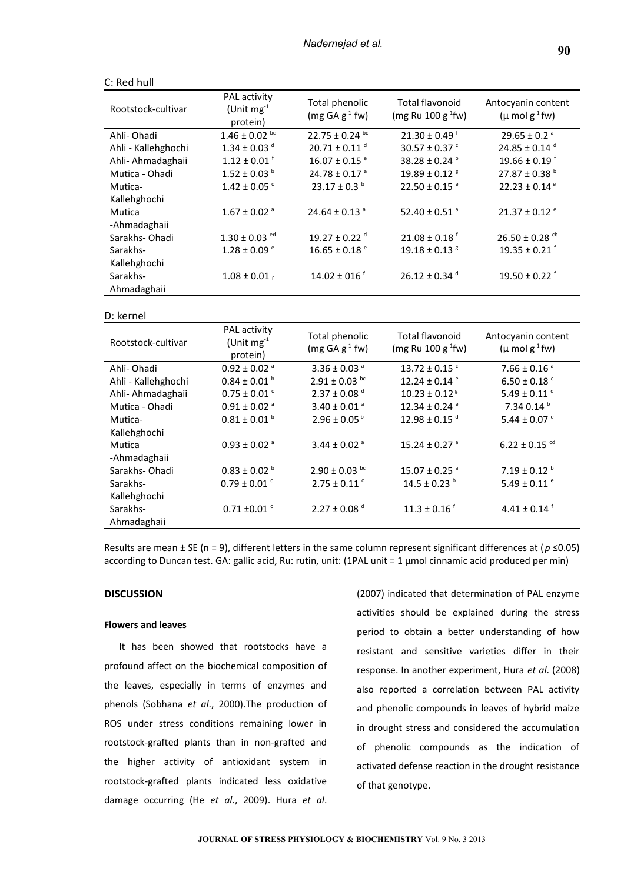| Rootstock-cultivar  | PAL activity<br>(Unit $mg^{-1}$<br>protein) | Total phenolic<br>$(mg GA g-1 fw)$ | <b>Total flavonoid</b><br>(mg Ru 100 $g^{-1}$ fw) | Antocyanin content<br>$(\mu \text{ mol } g^{-1} \text{fw})$ |
|---------------------|---------------------------------------------|------------------------------------|---------------------------------------------------|-------------------------------------------------------------|
| Ahli-Ohadi          | $1.46 \pm 0.02$ bc                          | $22.75 \pm 0.24$ bc                | $21.30 \pm 0.49$ <sup>f</sup>                     | $29.65 \pm 0.2$ <sup>a</sup>                                |
| Ahli - Kallehghochi | $1.34 \pm 0.03$ <sup>d</sup>                | $20.71 \pm 0.11$ <sup>d</sup>      | 30.57 ± 0.37 $\degree$                            | 24.85 ± 0.14 $d$                                            |
| Ahli- Ahmadaghaii   | $1.12 \pm 0.01$ <sup>f</sup>                | $16.07 \pm 0.15$ <sup>e</sup>      | 38.28 ± 0.24 $^{\rm b}$                           | $19.66 \pm 0.19$ <sup>f</sup>                               |
| Mutica - Ohadi      | $1.52 \pm 0.03$ b                           | $24.78 \pm 0.17$ <sup>a</sup>      | $19.89 \pm 0.12$ <sup>8</sup>                     | $27.87 \pm 0.38$ <sup>b</sup>                               |
| Mutica-             | $1.42 \pm 0.05$ <sup>c</sup>                | $23.17 \pm 0.3^{\text{b}}$         | $22.50 \pm 0.15$ <sup>e</sup>                     | $22.23 \pm 0.14$ <sup>e</sup>                               |
| Kallehghochi        |                                             |                                    |                                                   |                                                             |
| Mutica              | $1.67 \pm 0.02$ <sup>a</sup>                | $24.64 \pm 0.13$ <sup>a</sup>      | 52.40 ± 0.51 $^{\circ}$                           | $21.37 \pm 0.12$ <sup>e</sup>                               |
| -Ahmadaghaii        |                                             |                                    |                                                   |                                                             |
| Sarakhs-Ohadi       | $1.30 \pm 0.03$ <sup>ed</sup>               | $19.27 \pm 0.22$ <sup>d</sup>      | $21.08 \pm 0.18$ <sup>f</sup>                     | $26.50 \pm 0.28$ <sup>cb</sup>                              |
| Sarakhs-            | $1.28 \pm 0.09$ <sup>e</sup>                | $16.65 \pm 0.18$ <sup>e</sup>      | $19.18 \pm 0.13$ <sup>g</sup>                     | $19.35 \pm 0.21$ <sup>f</sup>                               |
| Kallehghochi        |                                             |                                    |                                                   |                                                             |
| Sarakhs-            | $1.08 \pm 0.01$ f                           | $14.02 \pm 016$ <sup>f</sup>       | $26.12 \pm 0.34$ <sup>d</sup>                     | $19.50 \pm 0.22$ <sup>f</sup>                               |
| Ahmadaghaii         |                                             |                                    |                                                   |                                                             |

#### C: Red hull

#### D: kernel

| Rootstock-cultivar     | PAL activity<br>(Unit $mg^{-1}$<br>protein) | Total phenolic<br>$(mg GA g-1 fw)$ | <b>Total flavonoid</b><br>(mg Ru $100 g^{-1}$ fw) | Antocyanin content<br>$(\mu \text{ mol } g^{-1} \text{fw})$ |
|------------------------|---------------------------------------------|------------------------------------|---------------------------------------------------|-------------------------------------------------------------|
| Ahli-Ohadi             | $0.92 \pm 0.02$ <sup>a</sup>                | $3.36 \pm 0.03$ <sup>a</sup>       | $13.72 \pm 0.15$ <sup>c</sup>                     | $7.66 \pm 0.16$ <sup>a</sup>                                |
| Ahli - Kallehghochi    | $0.84 \pm 0.01$ b                           | $2.91 \pm 0.03$ bc                 | $12.24 \pm 0.14$ <sup>e</sup>                     | $6.50 \pm 0.18$ <sup>c</sup>                                |
| Ahli- Ahmadaghaii      | $0.75 \pm 0.01$ <sup>c</sup>                | $2.37 \pm 0.08$ d                  | $10.23 \pm 0.12$ <sup>8</sup>                     | $5.49 \pm 0.11$ <sup>d</sup>                                |
| Mutica - Ohadi         | $0.91 \pm 0.02$ <sup>a</sup>                | $3.40 \pm 0.01$ <sup>a</sup>       | 12.34 ± 0.24 $e$                                  | 7.34 0.14 b                                                 |
| Mutica-                | $0.81 \pm 0.01^{\text{ b}}$                 | $2.96 \pm 0.05^{\text{b}}$         | $12.98 \pm 0.15$ <sup>d</sup>                     | 5.44 ± 0.07 $e$                                             |
| Kallehghochi           |                                             |                                    |                                                   |                                                             |
| Mutica<br>-Ahmadaghaii | $0.93 \pm 0.02$ <sup>a</sup>                | 3.44 ± 0.02 $a$                    | $15.24 \pm 0.27$ <sup>a</sup>                     | $6.22 \pm 0.15$ <sup>cd</sup>                               |
| Sarakhs-Ohadi          | $0.83 \pm 0.02$ <sup>b</sup>                | $2.90 \pm 0.03$ bc                 | $15.07 \pm 0.25$ <sup>a</sup>                     | $7.19 \pm 0.12$ <sup>b</sup>                                |
| Sarakhs-               | $0.79 \pm 0.01$ <sup>c</sup>                | $2.75 \pm 0.11$ <sup>c</sup>       | $14.5 \pm 0.23$ <sup>b</sup>                      | 5.49 ± 0.11 $^{\circ}$                                      |
| Kallehghochi           |                                             |                                    |                                                   |                                                             |
| Sarakhs-               | $0.71 \pm 0.01$ <sup>c</sup>                | $2.27 \pm 0.08$ d                  | $11.3 \pm 0.16$ <sup>f</sup>                      | $4.41 \pm 0.14$ <sup>f</sup>                                |
| Ahmadaghaii            |                                             |                                    |                                                   |                                                             |

Results are mean ± SE (n = 9), different letters in the same column represent significant differences at (*p* ≤0.05) according to Duncan test. GA: gallic acid, Ru: rutin, unit: (1PAL unit = 1 μmol cinnamic acid produced per min)

# **DISCUSSION**

#### **Flowers and leaves**

It has been showed that rootstocks have a profound affect on the biochemical composition of the leaves, especially in terms of enzymes and phenols (Sobhana *et al*., 2000).The production of ROS under stress conditions remaining lower in rootstock-grafted plants than in non-grafted and the higher activity of antioxidant system in rootstock-grafted plants indicated less oxidative damage occurring (He *et al*., 2009). Hura *et al*.

(2007) indicated that determination of PAL enzyme activities should be explained during the stress period to obtain a better understanding of how resistant and sensitive varieties differ in their response. In another experiment, Hura *et al*. (2008) also reported a correlation between PAL activity and phenolic compounds in leaves of hybrid maize in drought stress and considered the accumulation of phenolic compounds as the indication of activated defense reaction in the drought resistance of that genotype.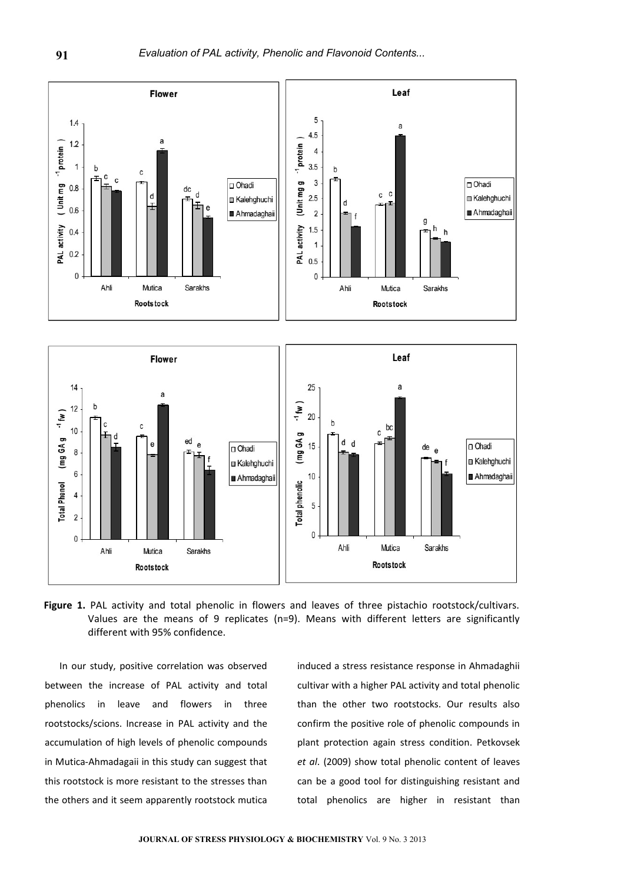

Figure 1. PAL activity and total phenolic in flowers and leaves of three pistachio rootstock/cultivars. Values are the means of 9 replicates (n=9). Means with different letters are significantly different with 95% confidence.

In our study, positive correlation was observed between the increase of PAL activity and total phenolics in leave and flowers in three rootstocks/scions. Increase in PAL activity and the accumulation of high levels of phenolic compounds in Mutica-Ahmadagaii in this study can suggest that this rootstock is more resistant to the stresses than the others and it seem apparently rootstock mutica

induced a stress resistance response in Ahmadaghii cultivar with a higher PAL activity and total phenolic than the other two rootstocks. Our results also confirm the positive role of phenolic compounds in plant protection again stress condition. Petkovsek *et al*. (2009) show total phenolic content of leaves can be a good tool for distinguishing resistant and total phenolics are higher in resistant than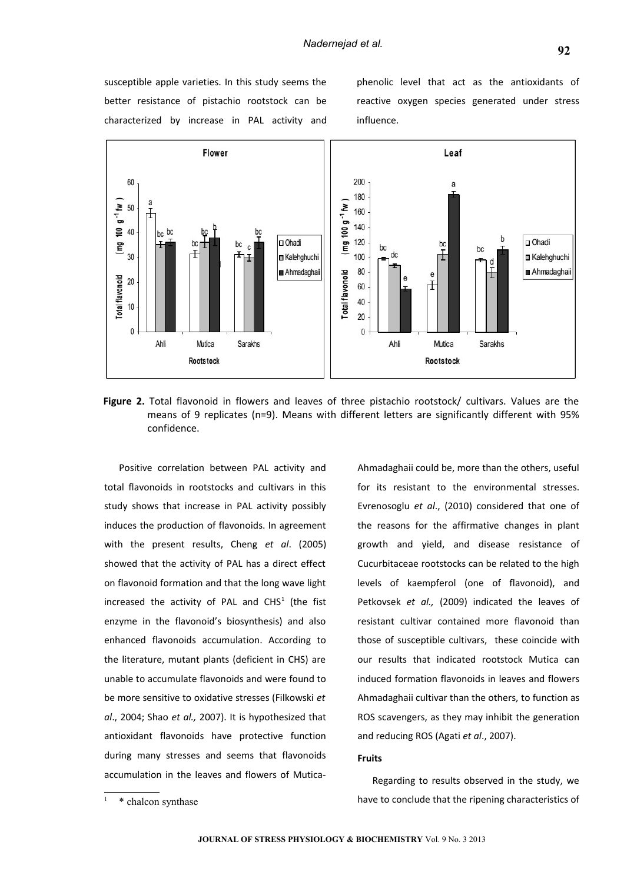susceptible apple varieties. In this study seems the better resistance of pistachio rootstock can be characterized by increase in PAL activity and

phenolic level that act as the antioxidants of reactive oxygen species generated under stress influence.



**Figure 2.** Total flavonoid in flowers and leaves of three pistachio rootstock/ cultivars. Values are the means of 9 replicates (n=9). Means with different letters are significantly different with 95% confidence.

Positive correlation between PAL activity and total flavonoids in rootstocks and cultivars in this study shows that increase in PAL activity possibly induces the production of flavonoids. In agreement with the present results, Cheng *et al*. (2005) showed that the activity of PAL has a direct effect on flavonoid formation and that the long wave light increased the activity of PAL and  $CHS<sup>1</sup>$  $CHS<sup>1</sup>$  $CHS<sup>1</sup>$  (the fist enzyme in the flavonoid's biosynthesis) and also enhanced flavonoids accumulation. According to the literature, mutant plants (deficient in CHS) are unable to accumulate flavonoids and were found to be more sensitive to oxidative stresses (Filkowski *et al*., 2004; Shao *et al.,* 2007). It is hypothesized that antioxidant flavonoids have protective function during many stresses and seems that flavonoids accumulation in the leaves and flowers of MuticaAhmadaghaii could be, more than the others, useful

# **Fruits**

Regarding to results observed in the study, we have to conclude that the ripening characteristics of

for its resistant to the environmental stresses. Evrenosoglu *et al*., (2010) considered that one of the reasons for the affirmative changes in plant growth and yield, and disease resistance of Cucurbitaceae rootstocks can be related to the high levels of kaempferol (one of flavonoid), and Petkovsek *et al.,* (2009) indicated the leaves of resistant cultivar contained more flavonoid than those of susceptible cultivars, these coincide with our results that indicated rootstock Mutica can induced formation flavonoids in leaves and flowers Ahmadaghaii cultivar than the others, to function as ROS scavengers, as they may inhibit the generation and reducing ROS (Agati *et al*., 2007).

<span id="page-8-0"></span><sup>1</sup> \* chalcon synthase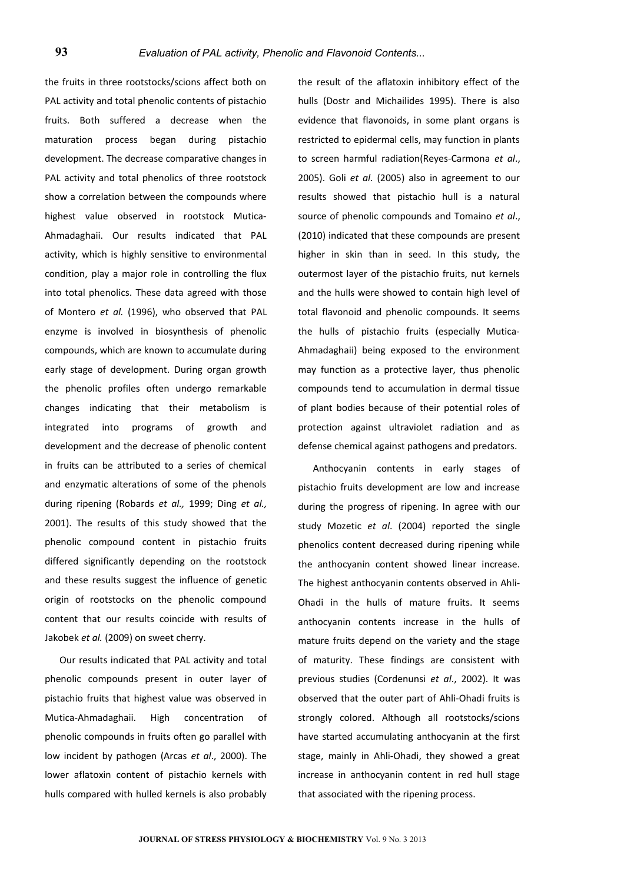the fruits in three rootstocks/scions affect both on PAL activity and total phenolic contents of pistachio fruits. Both suffered a decrease when the maturation process began during pistachio development. The decrease comparative changes in PAL activity and total phenolics of three rootstock show a correlation between the compounds where highest value observed in rootstock Mutica-Ahmadaghaii. Our results indicated that PAL activity, which is highly sensitive to environmental condition, play a major role in controlling the flux into total phenolics. These data agreed with those of Montero *et al.* (1996), who observed that PAL enzyme is involved in biosynthesis of phenolic compounds, which are known to accumulate during early stage of development. During organ growth the phenolic profiles often undergo remarkable changes indicating that their metabolism is integrated into programs of growth and development and the decrease of phenolic content in fruits can be attributed to a series of chemical and enzymatic alterations of some of the phenols during ripening (Robards *et al.,* 1999; Ding *et al.,* 2001). The results of this study showed that the phenolic compound content in pistachio fruits differed significantly depending on the rootstock and these results suggest the influence of genetic origin of rootstocks on the phenolic compound content that our results coincide with results of Jakobek *et al.* (2009) on sweet cherry.

Our results indicated that PAL activity and total phenolic compounds present in outer layer of pistachio fruits that highest value was observed in Mutica-Ahmadaghaii. High concentration of phenolic compounds in fruits often go parallel with low incident by pathogen (Arcas *et al*., 2000). The lower aflatoxin content of pistachio kernels with hulls compared with hulled kernels is also probably

the result of the aflatoxin inhibitory effect of the hulls (Dostr and Michailides 1995). There is also evidence that flavonoids, in some plant organs is restricted to epidermal cells, may function in plants to screen harmful radiation(Reyes-Carmona *et al*., 2005). Goli *et al.* (2005) also in agreement to our results showed that pistachio hull is a natural source of phenolic compounds and Tomaino *et al*., (2010) indicated that these compounds are present higher in skin than in seed. In this study, the outermost layer of the pistachio fruits, nut kernels and the hulls were showed to contain high level of total flavonoid and phenolic compounds. It seems the hulls of pistachio fruits (especially Mutica-Ahmadaghaii) being exposed to the environment may function as a protective layer, thus phenolic compounds tend to accumulation in dermal tissue of plant bodies because of their potential roles of protection against ultraviolet radiation and as defense chemical against pathogens and predators.

Anthocyanin contents in early stages of pistachio fruits development are low and increase during the progress of ripening. In agree with our study Mozetic *et al*. (2004) reported the single phenolics content decreased during ripening while the anthocyanin content showed linear increase. The highest anthocyanin contents observed in Ahli-Ohadi in the hulls of mature fruits. It seems anthocyanin contents increase in the hulls of mature fruits depend on the variety and the stage of maturity. These findings are consistent with previous studies (Cordenunsi *et al*., 2002). It was observed that the outer part of Ahli-Ohadi fruits is strongly colored. Although all rootstocks/scions have started accumulating anthocyanin at the first stage, mainly in Ahli-Ohadi, they showed a great increase in anthocyanin content in red hull stage that associated with the ripening process.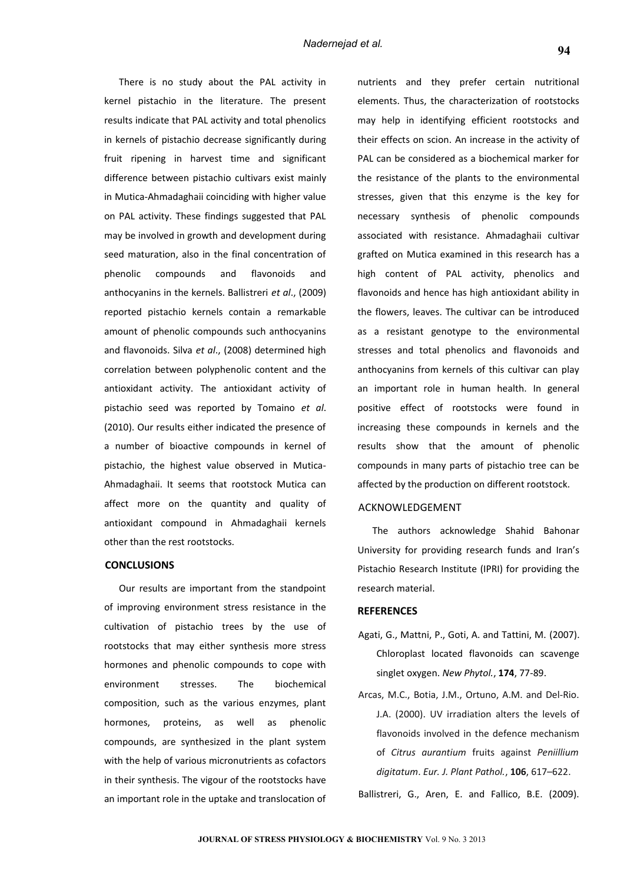There is no study about the PAL activity in kernel pistachio in the literature. The present results indicate that PAL activity and total phenolics in kernels of pistachio decrease significantly during fruit ripening in harvest time and significant difference between pistachio cultivars exist mainly in Mutica-Ahmadaghaii coinciding with higher value on PAL activity. These findings suggested that PAL may be involved in growth and development during seed maturation, also in the final concentration of phenolic compounds and flavonoids and anthocyanins in the kernels. Ballistreri *et al*., (2009) reported pistachio kernels contain a remarkable amount of phenolic compounds such anthocyanins and flavonoids. Silva *et al*., (2008) determined high correlation between polyphenolic content and the antioxidant activity. The antioxidant activity of pistachio seed was reported by Tomaino *et al*. (2010). Our results either indicated the presence of a number of bioactive compounds in kernel of pistachio, the highest value observed in Mutica-Ahmadaghaii. It seems that rootstock Mutica can affect more on the quantity and quality of antioxidant compound in Ahmadaghaii kernels other than the rest rootstocks.

#### **CONCLUSIONS**

Our results are important from the standpoint of improving environment stress resistance in the cultivation of pistachio trees by the use of rootstocks that may either synthesis more stress hormones and phenolic compounds to cope with environment stresses. The biochemical composition, such as the various enzymes, plant hormones, proteins, as well as phenolic compounds, are synthesized in the plant system with the help of various micronutrients as cofactors in their synthesis. The vigour of the rootstocks have an important role in the uptake and translocation of

nutrients and they prefer certain nutritional elements. Thus, the characterization of rootstocks may help in identifying efficient rootstocks and their effects on scion. An increase in the activity of PAL can be considered as a biochemical marker for the resistance of the plants to the environmental stresses, given that this enzyme is the key for necessary synthesis of phenolic compounds associated with resistance. Ahmadaghaii cultivar grafted on Mutica examined in this research has a high content of PAL activity, phenolics and flavonoids and hence has high antioxidant ability in the flowers, leaves. The cultivar can be introduced as a resistant genotype to the environmental stresses and total phenolics and flavonoids and anthocyanins from kernels of this cultivar can play an important role in human health. In general positive effect of rootstocks were found in increasing these compounds in kernels and the results show that the amount of phenolic compounds in many parts of pistachio tree can be affected by the production on different rootstock.

#### ACKNOWLEDGEMENT

The authors acknowledge Shahid Bahonar University for providing research funds and Iran's Pistachio Research Institute (IPRI) for providing the research material.

# **REFERENCES**

- Agati, G., Mattni, P., Goti, A. and Tattini, M. (2007). Chloroplast located flavonoids can scavenge singlet oxygen. *New Phytol.*, **174**, 77-89.
- Arcas, M.C., Botia, J.M., Ortuno, A.M. and Del-Rio. J.A. (2000). UV irradiation alters the levels of flavonoids involved in the defence mechanism of *Citrus aurantium* fruits against *Peniillium digitatum*. *Eur. J. Plant Pathol.*, **106**, 617–622.

Ballistreri, G., Aren, E. and Fallico, B.E. (2009).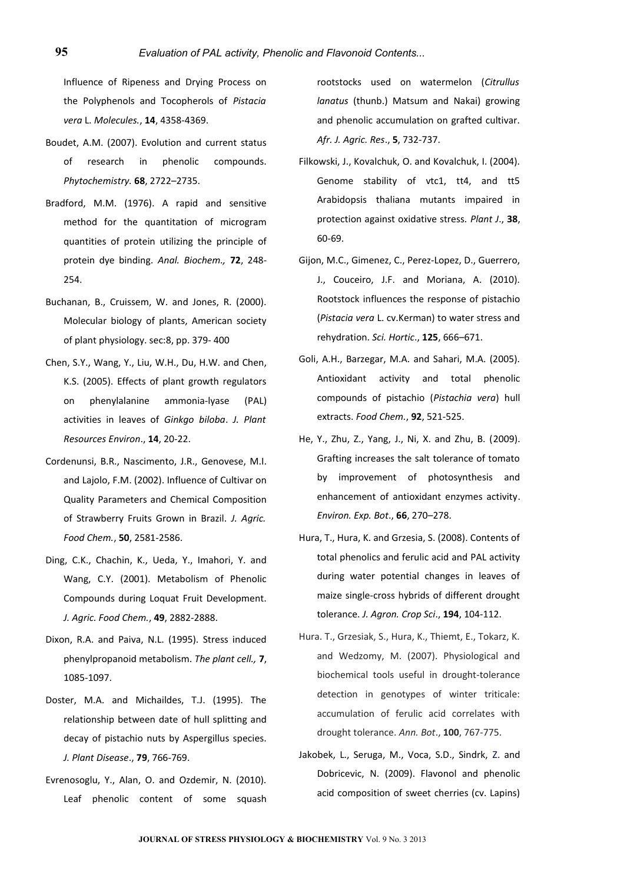Influence of Ripeness and Drying Process on the Polyphenols and Tocopherols of *Pistacia vera* L. *Molecules.*, **14**, 4358-4369.

- Boudet, A.M. (2007). Evolution and current status of research in phenolic compounds. *Phytochemistry.* **68**, 2722–2735.
- Bradford, M.M. (1976). A rapid and sensitive method for the quantitation of microgram quantities of protein utilizing the principle of protein dye binding. *Anal. Biochem.,* **72**, 248- 254.
- Buchanan, B., Cruissem, W. and Jones, R. (2000). Molecular biology of plants, American society of plant physiology. sec:8, pp. 379- 400
- Chen, S.Y., Wang, Y., Liu, W.H., Du, H.W. and Chen, K.S. (2005). Effects of plant growth regulators on phenylalanine ammonia-lyase (PAL) activities in leaves of *Ginkgo biloba*. *J. Plant Resources Environ*., **14**, 20-22.
- Cordenunsi, B.R., Nascimento, J.R., Genovese, M.I. and Lajolo, F.M. (2002). Influence of Cultivar on Quality Parameters and Chemical Composition of Strawberry Fruits Grown in Brazil. *J. Agric. Food Chem.*, **50**, 2581-2586.
- Ding, C.K., Chachin, K., Ueda, Y., Imahori, Y. and Wang, C.Y. (2001). Metabolism of Phenolic Compounds during Loquat Fruit Development. *J. Agric. Food Chem.*, **49**, 2882-2888.
- Dixon, R.A. and Paiva, N.L. (1995). Stress induced phenylpropanoid metabolism. *The plant cell.,* **7**, 1085-1097.
- Doster, M.A. and Michaildes, T.J. (1995). The relationship between date of hull splitting and decay of pistachio nuts by Aspergillus species. *J. Plant Disease*., **79**, 766-769.
- Evrenosoglu, Y., Alan, O. and Ozdemir, N. (2010). Leaf phenolic content of some squash

rootstocks used on watermelon (*Citrullus lanatus* (thunb.) Matsum and Nakai) growing and phenolic accumulation on grafted cultivar. *Afr. J. Agric. Res*., **5**, 732-737.

- Filkowski, J., Kovalchuk, O. and Kovalchuk, I. (2004). Genome stability of vtc1, tt4, and tt5 Arabidopsis thaliana mutants impaired in protection against oxidative stress. *Plant J*., **38**, 60-69.
- Gijon, M.C., Gimenez, C., Perez-Lopez, D., Guerrero, J., Couceiro, J.F. and Moriana, A. (2010). Rootstock influences the response of pistachio (*Pistacia vera* L. cv.Kerman) to water stress and rehydration. *Sci. Hortic*., **125**, 666–671.
- Goli, A.H., Barzegar, M.A. and Sahari, M.A. (2005). Antioxidant activity and total phenolic compounds of pistachio (*Pistachia vera*) hull extracts. *Food Chem.*, **92**, 521-525.
- He, Y., Zhu, Z., Yang, J., Ni, X. and Zhu, B. (2009). Grafting increases the salt tolerance of tomato by improvement of photosynthesis and enhancement of antioxidant enzymes activity. *Environ. Exp. Bot*., **66**, 270–278.
- Hura, T., Hura, K. and Grzesia, S. (2008). Contents of total phenolics and ferulic acid and PAL activity during water potential changes in leaves of maize single-cross hybrids of different drought tolerance. *J. Agron. Crop Sci*., **194**, 104-112.
- Hura. T., Grzesiak, S., Hura, K., Thiemt, E., Tokarz, K. and Wedzomy, M. (2007). Physiological and biochemical tools useful in drought-tolerance detection in genotypes of winter triticale: accumulation of ferulic acid correlates with drought tolerance. *Ann. Bot*., **100**, 767-775.
- Jakobek, L., Seruga, M., Voca, S.D., Sindrk, Z. and Dobricevic, N. (2009). Flavonol and phenolic acid composition of sweet cherries (cv. Lapins)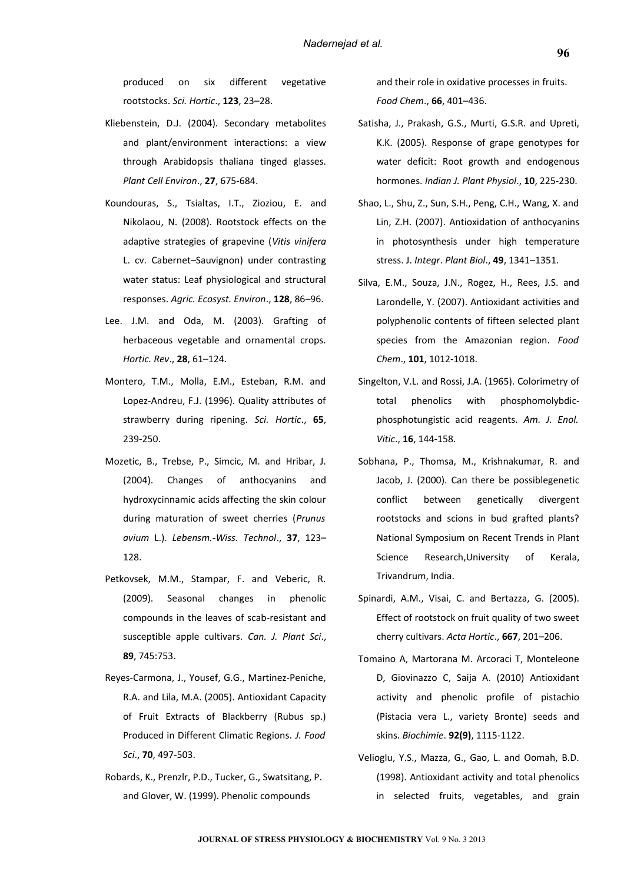produced on six different vegetative rootstocks. *Sci. Hortic*., **123**, 23–28.

- Kliebenstein, D.J. (2004). Secondary metabolites and plant/environment interactions: a view through Arabidopsis thaliana tinged glasses. *Plant Cell Environ*., **27**, 675-684.
- Koundouras, S., Tsialtas, I.T., Zioziou, E. and Nikolaou, N. (2008). Rootstock effects on the adaptive strategies of grapevine (*Vitis vinifera* L. cv. Cabernet–Sauvignon) under contrasting water status: Leaf physiological and structural responses. *Agric. Ecosyst. Environ*., **128**, 86–96.
- Lee. J.M. and Oda, M. (2003). Grafting of herbaceous vegetable and ornamental crops. *Hortic. Rev*., **28**, 61–124.
- Montero, T.M., Molla, E.M., Esteban, R.M. and Lopez-Andreu, F.J. (1996). Quality attributes of strawberry during ripening. *Sci. Hortic*., **65**, 239-250.
- Mozetic, B., Trebse, P., Simcic, M. and Hribar, J. (2004). Changes of anthocyanins and hydroxycinnamic acids affecting the skin colour during maturation of sweet cherries (*Prunus avium* L.). *Lebensm.-Wiss. Technol*., **37**, 123– 128.
- Petkovsek, M.M., Stampar, F. and Veberic, R. (2009). Seasonal changes in phenolic compounds in the leaves of scab-resistant and susceptible apple cultivars. *Can. J. Plant Sci*., **89**, 745:753.
- Reyes-Carmona, J., Yousef, G.G., Martinez-Peniche, R.A. and Lila, M.A. (2005). Antioxidant Capacity of Fruit Extracts of Blackberry (Rubus sp.) Produced in Different Climatic Regions. *J. Food Sci*., **70**, 497-503.
- Robards, K., Prenzlr, P.D., Tucker, G., Swatsitang, P. and Glover, W. (1999). Phenolic compounds

and their role in oxidative processes in fruits. *Food Chem*., **66**, 401–436.

- Satisha, J., Prakash, G.S., Murti, G.S.R. and Upreti, K.K. (2005). Response of grape genotypes for water deficit: Root growth and endogenous hormones. *Indian J. Plant Physiol*., **10**, 225-230.
- Shao, L., Shu, Z., Sun, S.H., Peng, C.H., Wang, X. and Lin, Z.H. (2007). Antioxidation of anthocyanins in photosynthesis under high temperature stress. J. *Integr*. *Plant Biol*., **49**, 1341–1351.
- Silva, E.M., Souza, J.N., Rogez, H., Rees, J.S. and Larondelle, Y. (2007). Antioxidant activities and polyphenolic contents of fifteen selected plant species from the Amazonian region. *Food Chem*., **101**, 1012-1018.
- Singelton, V.L. and Rossi, J.A. (1965). Colorimetry of total phenolics with phosphomolybdicphosphotungistic acid reagents. *Am. J. Enol. Vitic*., **16**, 144-158.
- Sobhana, P., Thomsa, M., Krishnakumar, R. and Jacob, J. (2000). Can there be possiblegenetic conflict between genetically divergent rootstocks and scions in bud grafted plants? National Symposium on Recent Trends in Plant Science Research,University of Kerala, Trivandrum, India.
- Spinardi, A.M., Visai, C. and Bertazza, G. (2005). Effect of rootstock on fruit quality of two sweet cherry cultivars. *Acta Hortic*., **667**, 201–206.
- Tomaino A, Martorana M. Arcoraci T, Monteleone D, Giovinazzo C, Saija A. (2010) Antioxidant activity and phenolic profile of pistachio (Pistacia vera L., variety Bronte) seeds and skins. *Biochimie*. **92(9)**, 1115-1122.
- Velioglu, Y.S., Mazza, G., Gao, L. and Oomah, B.D. (1998). Antioxidant activity and total phenolics in selected fruits, vegetables, and grain